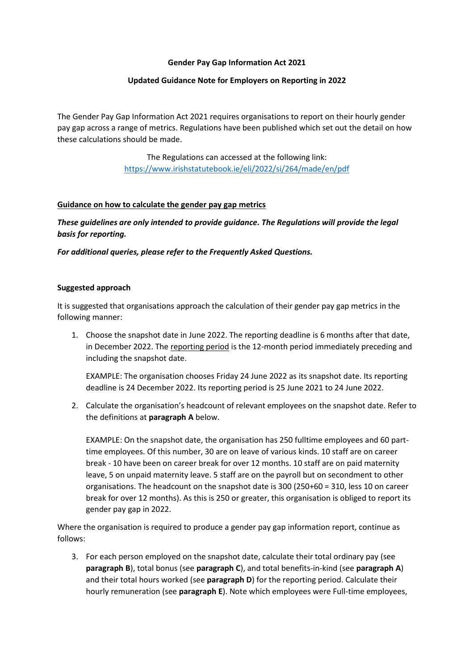#### **Gender Pay Gap Information Act 2021**

### **Updated Guidance Note for Employers on Reporting in 2022**

The Gender Pay Gap Information Act 2021 requires organisations to report on their hourly gender pay gap across a range of metrics. Regulations have been published which set out the detail on how these calculations should be made.

> The Regulations can accessed at the following link: <https://www.irishstatutebook.ie/eli/2022/si/264/made/en/pdf>

### **Guidance on how to calculate the gender pay gap metrics**

*These guidelines are only intended to provide guidance. The Regulations will provide the legal basis for reporting.* 

*For additional queries, please refer to the Frequently Asked Questions.*

#### **Suggested approach**

It is suggested that organisations approach the calculation of their gender pay gap metrics in the following manner:

1. Choose the snapshot date in June 2022. The reporting deadline is 6 months after that date, in December 2022. The reporting period is the 12-month period immediately preceding and including the snapshot date.

EXAMPLE: The organisation chooses Friday 24 June 2022 as its snapshot date. Its reporting deadline is 24 December 2022. Its reporting period is 25 June 2021 to 24 June 2022.

2. Calculate the organisation's headcount of relevant employees on the snapshot date. Refer to the definitions at **paragraph A** below.

EXAMPLE: On the snapshot date, the organisation has 250 fulltime employees and 60 parttime employees. Of this number, 30 are on leave of various kinds. 10 staff are on career break - 10 have been on career break for over 12 months. 10 staff are on paid maternity leave, 5 on unpaid maternity leave. 5 staff are on the payroll but on secondment to other organisations. The headcount on the snapshot date is 300 (250+60 = 310, less 10 on career break for over 12 months). As this is 250 or greater, this organisation is obliged to report its gender pay gap in 2022.

Where the organisation is required to produce a gender pay gap information report, continue as follows:

3. For each person employed on the snapshot date, calculate their total ordinary pay (see **paragraph B**), total bonus (see **paragraph C**), and total benefits-in-kind (see **paragraph A**) and their total hours worked (see **paragraph D**) for the reporting period. Calculate their hourly remuneration (see **paragraph E**). Note which employees were Full-time employees,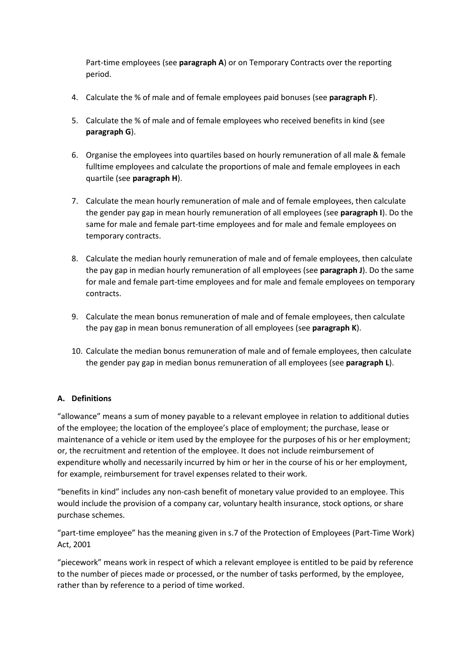Part-time employees (see **paragraph A**) or on Temporary Contracts over the reporting period.

- 4. Calculate the % of male and of female employees paid bonuses (see **paragraph F**).
- 5. Calculate the % of male and of female employees who received benefits in kind (see **paragraph G**).
- 6. Organise the employees into quartiles based on hourly remuneration of all male & female fulltime employees and calculate the proportions of male and female employees in each quartile (see **paragraph H**).
- 7. Calculate the mean hourly remuneration of male and of female employees, then calculate the gender pay gap in mean hourly remuneration of all employees (see **paragraph I**). Do the same for male and female part-time employees and for male and female employees on temporary contracts.
- 8. Calculate the median hourly remuneration of male and of female employees, then calculate the pay gap in median hourly remuneration of all employees (see **paragraph J**). Do the same for male and female part-time employees and for male and female employees on temporary contracts.
- 9. Calculate the mean bonus remuneration of male and of female employees, then calculate the pay gap in mean bonus remuneration of all employees (see **paragraph K**).
- 10. Calculate the median bonus remuneration of male and of female employees, then calculate the gender pay gap in median bonus remuneration of all employees (see **paragraph L**).

# **A. Definitions**

"allowance" means a sum of money payable to a relevant employee in relation to additional duties of the employee; the location of the employee's place of employment; the purchase, lease or maintenance of a vehicle or item used by the employee for the purposes of his or her employment; or, the recruitment and retention of the employee. It does not include reimbursement of expenditure wholly and necessarily incurred by him or her in the course of his or her employment, for example, reimbursement for travel expenses related to their work.

"benefits in kind" includes any non-cash benefit of monetary value provided to an employee. This would include the provision of a company car, voluntary health insurance, stock options, or share purchase schemes.

"part-time employee" has the meaning given in s.7 of the Protection of Employees (Part-Time Work) Act, 2001

"piecework" means work in respect of which a relevant employee is entitled to be paid by reference to the number of pieces made or processed, or the number of tasks performed, by the employee, rather than by reference to a period of time worked.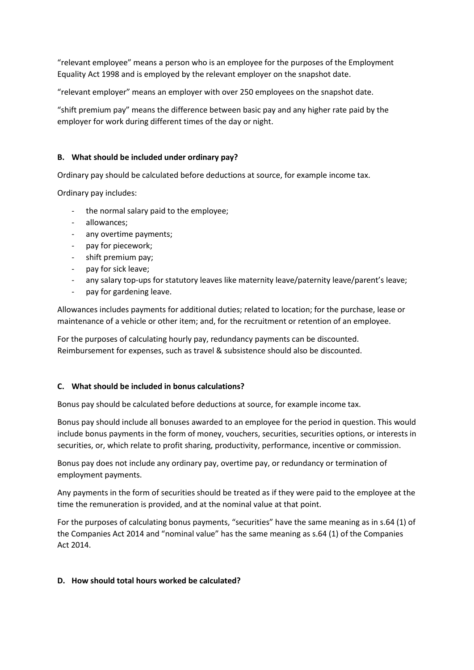"relevant employee" means a person who is an employee for the purposes of the Employment Equality Act 1998 and is employed by the relevant employer on the snapshot date.

"relevant employer" means an employer with over 250 employees on the snapshot date.

"shift premium pay" means the difference between basic pay and any higher rate paid by the employer for work during different times of the day or night.

### **B. What should be included under ordinary pay?**

Ordinary pay should be calculated before deductions at source, for example income tax.

Ordinary pay includes:

- the normal salary paid to the employee;
- allowances;
- any overtime payments;
- pay for piecework;
- shift premium pay;
- pay for sick leave;
- any salary top-ups for statutory leaves like maternity leave/paternity leave/parent's leave;
- pay for gardening leave.

Allowances includes payments for additional duties; related to location; for the purchase, lease or maintenance of a vehicle or other item; and, for the recruitment or retention of an employee.

For the purposes of calculating hourly pay, redundancy payments can be discounted. Reimbursement for expenses, such as travel & subsistence should also be discounted.

#### **C. What should be included in bonus calculations?**

Bonus pay should be calculated before deductions at source, for example income tax.

Bonus pay should include all bonuses awarded to an employee for the period in question. This would include bonus payments in the form of money, vouchers, securities, securities options, or interests in securities, or, which relate to profit sharing, productivity, performance, incentive or commission.

Bonus pay does not include any ordinary pay, overtime pay, or redundancy or termination of employment payments.

Any payments in the form of securities should be treated as if they were paid to the employee at the time the remuneration is provided, and at the nominal value at that point.

For the purposes of calculating bonus payments, "securities" have the same meaning as in s.64 (1) of the Companies Act 2014 and "nominal value" has the same meaning as s.64 (1) of the Companies Act 2014.

#### **D. How should total hours worked be calculated?**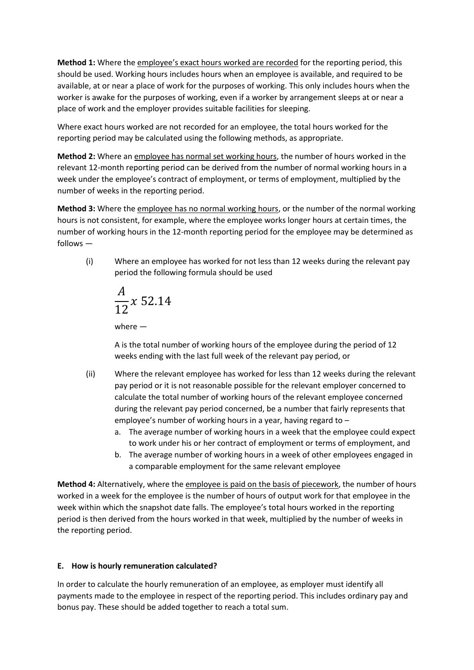**Method 1:** Where the employee's exact hours worked are recorded for the reporting period, this should be used. Working hours includes hours when an employee is available, and required to be available, at or near a place of work for the purposes of working. This only includes hours when the worker is awake for the purposes of working, even if a worker by arrangement sleeps at or near a place of work and the employer provides suitable facilities for sleeping.

Where exact hours worked are not recorded for an employee, the total hours worked for the reporting period may be calculated using the following methods, as appropriate.

**Method 2:** Where an employee has normal set working hours, the number of hours worked in the relevant 12-month reporting period can be derived from the number of normal working hours in a week under the employee's contract of employment, or terms of employment, multiplied by the number of weeks in the reporting period.

**Method 3:** Where the employee has no normal working hours, or the number of the normal working hours is not consistent, for example, where the employee works longer hours at certain times, the number of working hours in the 12-month reporting period for the employee may be determined as follows —

(i) Where an employee has worked for not less than 12 weeks during the relevant pay period the following formula should be used

$$
\frac{A}{12}x\;52.14
$$

where —

A is the total number of working hours of the employee during the period of 12 weeks ending with the last full week of the relevant pay period, or

- (ii) Where the relevant employee has worked for less than 12 weeks during the relevant pay period or it is not reasonable possible for the relevant employer concerned to calculate the total number of working hours of the relevant employee concerned during the relevant pay period concerned, be a number that fairly represents that employee's number of working hours in a year, having regard to –
	- a. The average number of working hours in a week that the employee could expect to work under his or her contract of employment or terms of employment, and
	- b. The average number of working hours in a week of other employees engaged in a comparable employment for the same relevant employee

**Method 4:** Alternatively, where the employee is paid on the basis of piecework, the number of hours worked in a week for the employee is the number of hours of output work for that employee in the week within which the snapshot date falls. The employee's total hours worked in the reporting period is then derived from the hours worked in that week, multiplied by the number of weeks in the reporting period.

# **E. How is hourly remuneration calculated?**

In order to calculate the hourly remuneration of an employee, as employer must identify all payments made to the employee in respect of the reporting period. This includes ordinary pay and bonus pay. These should be added together to reach a total sum.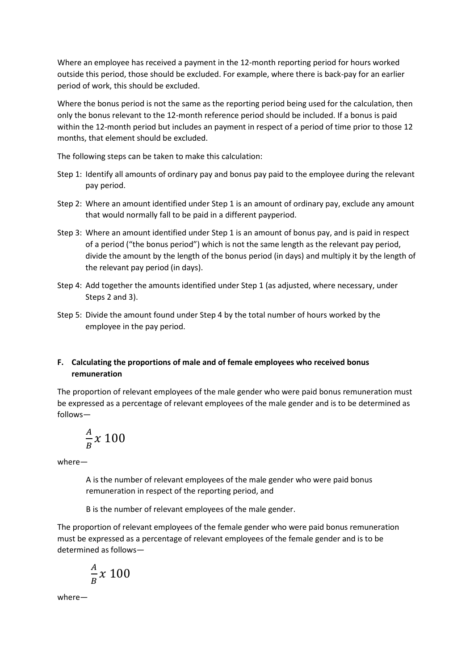Where an employee has received a payment in the 12-month reporting period for hours worked outside this period, those should be excluded. For example, where there is back-pay for an earlier period of work, this should be excluded.

Where the bonus period is not the same as the reporting period being used for the calculation, then only the bonus relevant to the 12-month reference period should be included. If a bonus is paid within the 12-month period but includes an payment in respect of a period of time prior to those 12 months, that element should be excluded.

The following steps can be taken to make this calculation:

- Step 1: Identify all amounts of ordinary pay and bonus pay paid to the employee during the relevant pay period.
- Step 2: Where an amount identified under Step 1 is an amount of ordinary pay, exclude any amount that would normally fall to be paid in a different payperiod.
- Step 3: Where an amount identified under Step 1 is an amount of bonus pay, and is paid in respect of a period ("the bonus period") which is not the same length as the relevant pay period, divide the amount by the length of the bonus period (in days) and multiply it by the length of the relevant pay period (in days).
- Step 4: Add together the amounts identified under Step 1 (as adjusted, where necessary, under Steps 2 and 3).
- Step 5: Divide the amount found under Step 4 by the total number of hours worked by the employee in the pay period.

# **F. Calculating the proportions of male and of female employees who received bonus remuneration**

The proportion of relevant employees of the male gender who were paid bonus remuneration must be expressed as a percentage of relevant employees of the male gender and is to be determined as follows—

$$
\frac{A}{B}x\ 100
$$

where—

A is the number of relevant employees of the male gender who were paid bonus remuneration in respect of the reporting period, and

B is the number of relevant employees of the male gender.

The proportion of relevant employees of the female gender who were paid bonus remuneration must be expressed as a percentage of relevant employees of the female gender and is to be determined as follows—

$$
\frac{A}{B}x\;100
$$

where—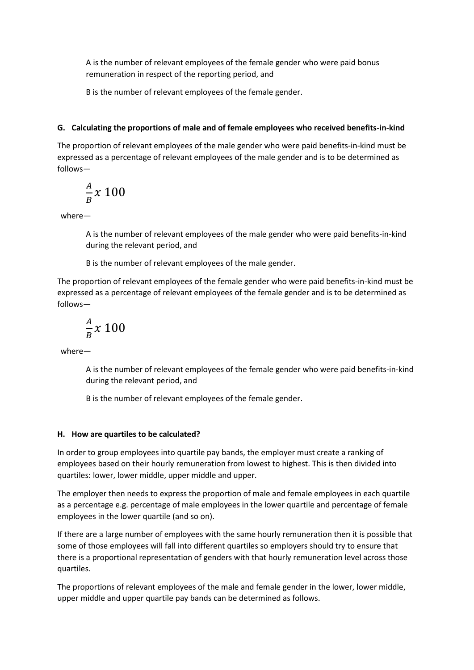A is the number of relevant employees of the female gender who were paid bonus remuneration in respect of the reporting period, and

B is the number of relevant employees of the female gender.

## **G. Calculating the proportions of male and of female employees who received benefits-in-kind**

The proportion of relevant employees of the male gender who were paid benefits-in-kind must be expressed as a percentage of relevant employees of the male gender and is to be determined as follows—

$$
\frac{A}{B}x\ 100
$$

where—

A is the number of relevant employees of the male gender who were paid benefits-in-kind during the relevant period, and

B is the number of relevant employees of the male gender.

The proportion of relevant employees of the female gender who were paid benefits-in-kind must be expressed as a percentage of relevant employees of the female gender and is to be determined as follows—

$$
\frac{A}{B}x\ 100
$$

where—

A is the number of relevant employees of the female gender who were paid benefits-in-kind during the relevant period, and

B is the number of relevant employees of the female gender.

#### **H. How are quartiles to be calculated?**

In order to group employees into quartile pay bands, the employer must create a ranking of employees based on their hourly remuneration from lowest to highest. This is then divided into quartiles: lower, lower middle, upper middle and upper.

The employer then needs to express the proportion of male and female employees in each quartile as a percentage e.g. percentage of male employees in the lower quartile and percentage of female employees in the lower quartile (and so on).

If there are a large number of employees with the same hourly remuneration then it is possible that some of those employees will fall into different quartiles so employers should try to ensure that there is a proportional representation of genders with that hourly remuneration level across those quartiles.

The proportions of relevant employees of the male and female gender in the lower, lower middle, upper middle and upper quartile pay bands can be determined as follows.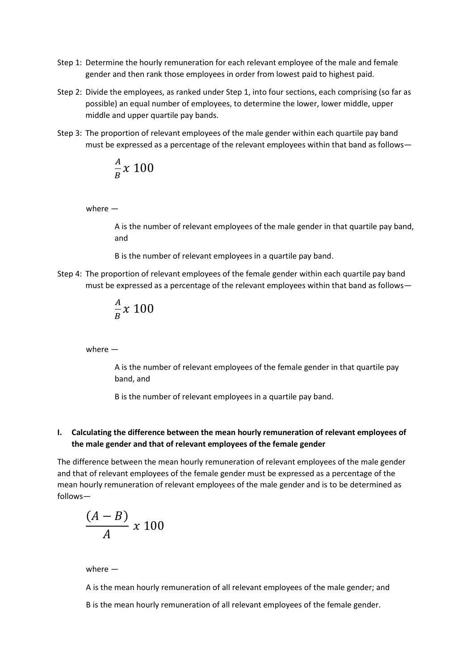- Step 1: Determine the hourly remuneration for each relevant employee of the male and female gender and then rank those employees in order from lowest paid to highest paid.
- Step 2: Divide the employees, as ranked under Step 1, into four sections, each comprising (so far as possible) an equal number of employees, to determine the lower, lower middle, upper middle and upper quartile pay bands.
- Step 3: The proportion of relevant employees of the male gender within each quartile pay band must be expressed as a percentage of the relevant employees within that band as follows—

$$
\frac{A}{B}x\ 100
$$

where —

A is the number of relevant employees of the male gender in that quartile pay band, and

B is the number of relevant employees in a quartile pay band.

Step 4: The proportion of relevant employees of the female gender within each quartile pay band must be expressed as a percentage of the relevant employees within that band as follows—

$$
\frac{A}{B}x\ 100
$$

where —

A is the number of relevant employees of the female gender in that quartile pay band, and

B is the number of relevant employees in a quartile pay band.

## **I. Calculating the difference between the mean hourly remuneration of relevant employees of the male gender and that of relevant employees of the female gender**

The difference between the mean hourly remuneration of relevant employees of the male gender and that of relevant employees of the female gender must be expressed as a percentage of the mean hourly remuneration of relevant employees of the male gender and is to be determined as follows—

$$
\frac{(A-B)}{A} \times 100
$$

where —

A is the mean hourly remuneration of all relevant employees of the male gender; and

B is the mean hourly remuneration of all relevant employees of the female gender.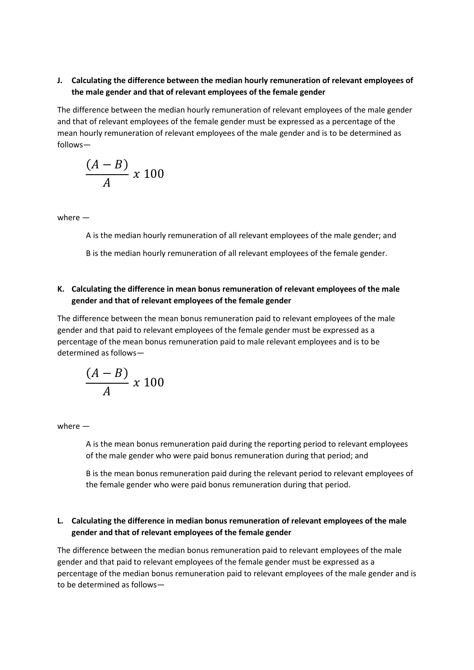# **J. Calculating the difference between the median hourly remuneration of relevant employees of the male gender and that of relevant employees of the female gender**

The difference between the median hourly remuneration of relevant employees of the male gender and that of relevant employees of the female gender must be expressed as a percentage of the mean hourly remuneration of relevant employees of the male gender and is to be determined as follows—

$$
\frac{(A-B)}{A} \times 100
$$

where —

A is the median hourly remuneration of all relevant employees of the male gender; and

B is the median hourly remuneration of all relevant employees of the female gender.

## **K. Calculating the difference in mean bonus remuneration of relevant employees of the male gender and that of relevant employees of the female gender**

The difference between the mean bonus remuneration paid to relevant employees of the male gender and that paid to relevant employees of the female gender must be expressed as a percentage of the mean bonus remuneration paid to male relevant employees and is to be determined as follows—

$$
\frac{(A-B)}{A} \times 100
$$

where —

A is the mean bonus remuneration paid during the reporting period to relevant employees of the male gender who were paid bonus remuneration during that period; and

B is the mean bonus remuneration paid during the relevant period to relevant employees of the female gender who were paid bonus remuneration during that period.

### **L. Calculating the difference in median bonus remuneration of relevant employees of the male gender and that of relevant employees of the female gender**

The difference between the median bonus remuneration paid to relevant employees of the male gender and that paid to relevant employees of the female gender must be expressed as a percentage of the median bonus remuneration paid to relevant employees of the male gender and is to be determined as follows—